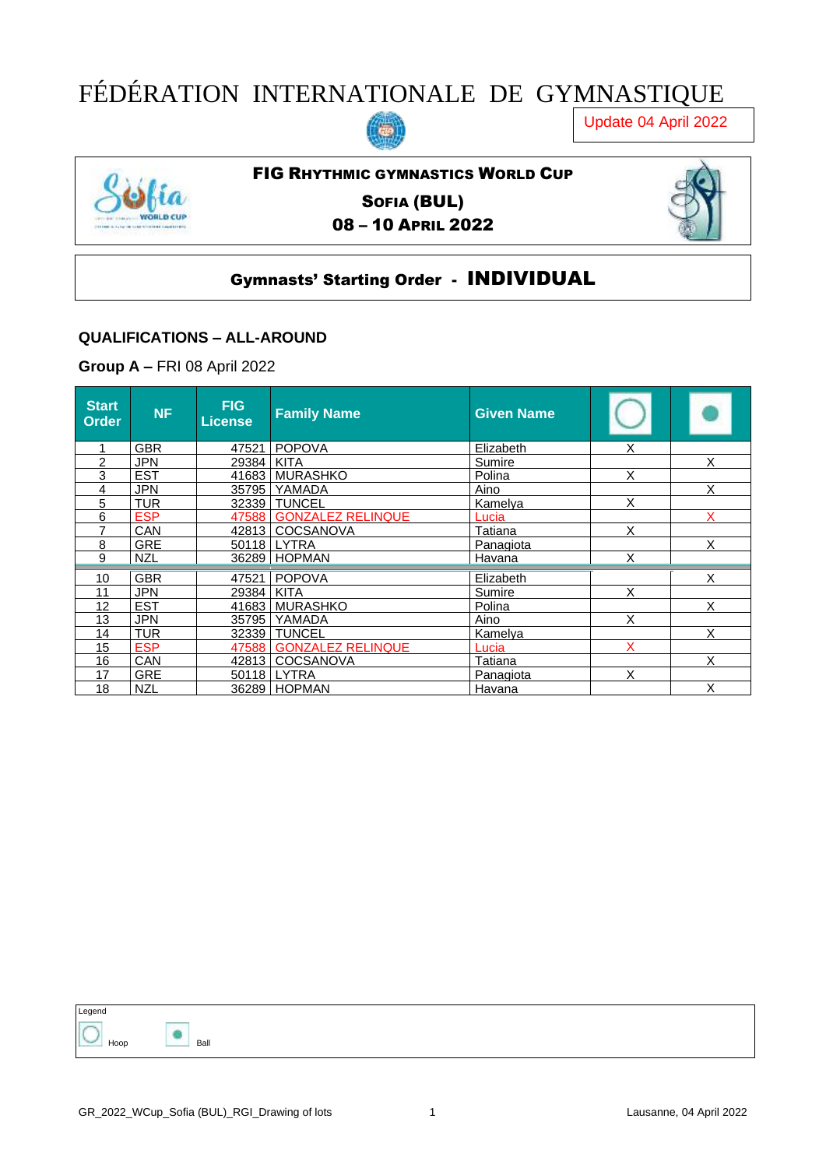# FÉDÉRATION INTERNATIONALE DE GYMNASTIQUE

Update 04 April 2022



## FIG RHYTHMIC GYMNASTICS WORLD CUP

SOFIA (BUL) 08 – 10 APRIL 2022



#### Gymnasts' Starting Order - INDIVIDUAL

#### **QUALIFICATIONS – ALL-AROUND**

**Group A –** FRI 08 April 2022

| <b>Start</b><br><b>Order</b> | <b>NF</b>  | <b>FIG</b><br>License, | <b>Family Name</b>      | <b>Given Name</b> |   |   |
|------------------------------|------------|------------------------|-------------------------|-------------------|---|---|
|                              | <b>GBR</b> | 47521                  | <b>POPOVA</b>           | Elizabeth         | Χ |   |
| 2                            | <b>JPN</b> | 29384                  | <b>KITA</b>             | Sumire            |   | X |
| 3                            | <b>EST</b> |                        | 41683 MURASHKO          | Polina            | X |   |
| 4                            | <b>JPN</b> | 35795                  | <b>YAMADA</b>           | Aino              |   | X |
| 5                            | <b>TUR</b> |                        | 32339 TUNCEL            | Kamelya           | X |   |
| 6                            | <b>ESP</b> |                        | 47588 GONZALEZ RELINQUE | Lucia             |   | X |
| 7                            | CAN        |                        | 42813   COCSANOVA       | Tatiana           | X |   |
| 8                            | <b>GRE</b> |                        | 50118 LYTRA             | Panagiota         |   | X |
| 9                            | <b>NZL</b> |                        | 36289   HOPMAN          | Havana            | X |   |
| 10                           | <b>GBR</b> | 47521                  | <b>POPOVA</b>           | Elizabeth         |   | X |
| 11                           | <b>JPN</b> | 29384 KITA             |                         | Sumire            | X |   |
| 12                           | <b>EST</b> |                        | 41683   MURASHKO        | Polina            |   | X |
| 13                           | <b>JPN</b> |                        | 35795   YAMADA          | Aino              | X |   |
| 14                           | <b>TUR</b> |                        | 32339   TUNCEL          | Kamelva           |   | X |
| 15                           | <b>ESP</b> |                        | 47588 GONZALEZ RELINQUE | Lucia             | x |   |
| 16                           | <b>CAN</b> |                        | 42813 COCSANOVA         | Tatiana           |   | X |
| 17                           | <b>GRE</b> |                        | 50118 LYTRA             | Panagiota         | X |   |
| 18                           | <b>NZL</b> |                        | 36289   HOPMAN          | <b>Havana</b>     |   | Χ |

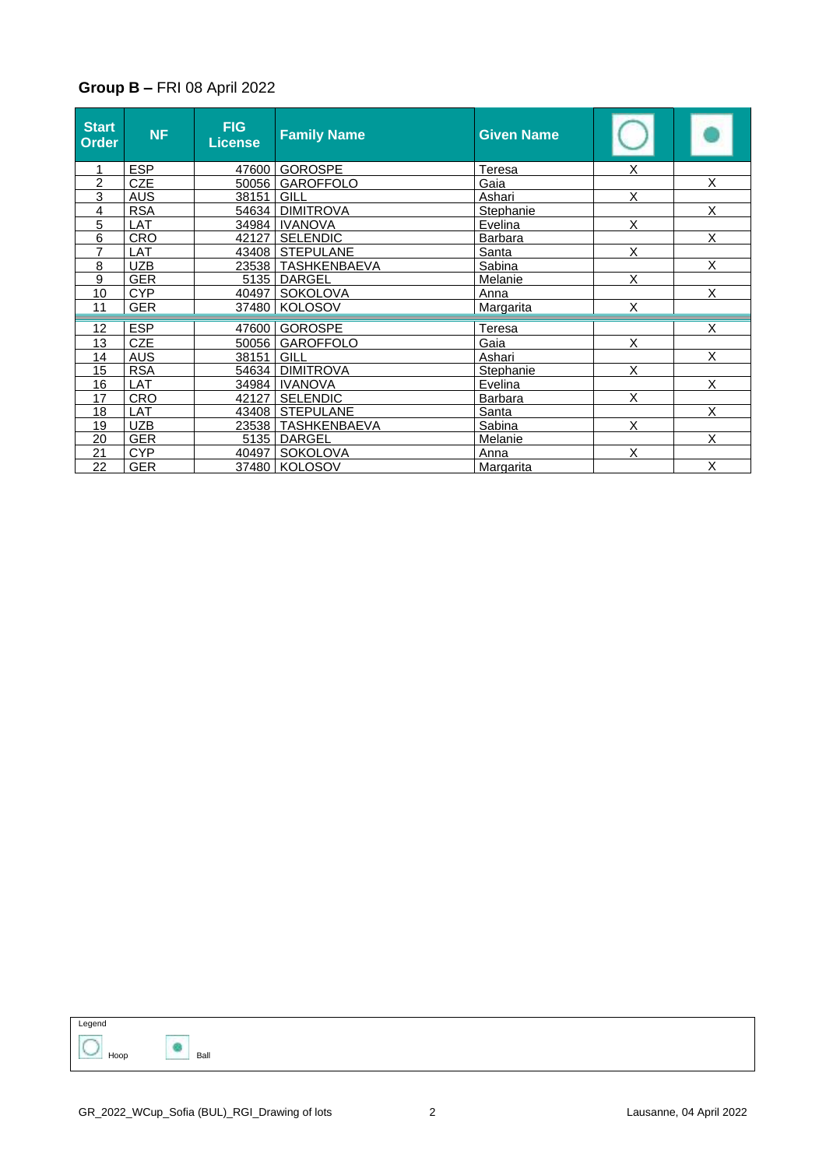#### **Group B –** FRI 08 April 2022

| <b>Start</b><br><b>Order</b> | <b>NF</b>  | FIG<br><b>License</b> | <b>Family Name</b>   | <b>Given Name</b> |                         |                         |
|------------------------------|------------|-----------------------|----------------------|-------------------|-------------------------|-------------------------|
|                              | <b>ESP</b> | 47600                 | <b>GOROSPE</b>       | Teresa            | X                       |                         |
| $\overline{c}$               | <b>CZE</b> | 50056                 | <b>GAROFFOLO</b>     | Gaia              |                         | $\overline{\mathsf{x}}$ |
| 3                            | <b>AUS</b> | 38151                 | GILL                 | Ashari            | X                       |                         |
| 4                            | <b>RSA</b> | 54634                 | <b>DIMITROVA</b>     | <b>Stephanie</b>  |                         | X                       |
| 5                            | <b>LAT</b> |                       | 34984 IVANOVA        | Evelina           | $\overline{X}$          |                         |
| 6                            | <b>CRO</b> | 42127                 | <b>SELENDIC</b>      | <b>Barbara</b>    |                         | Χ                       |
| $\overline{7}$               | LAT        |                       | 43408 STEPULANE      | Santa             | X                       |                         |
| 8                            | <b>UZB</b> |                       | 23538 TASHKENBAEVA   | Sabina            |                         | X                       |
| 9                            | <b>GER</b> |                       | 5135   DARGEL        | Melanie           | X                       |                         |
| 10                           | <b>CYP</b> | 40497                 | SOKOLOVA             | Anna              |                         | $\overline{X}$          |
| 11                           | <b>GER</b> |                       | 37480   KOLOSOV      | Margarita         | X                       |                         |
| 12                           | <b>ESP</b> | 47600                 | <b>GOROSPE</b>       | Teresa            |                         | X                       |
| 13                           | <b>CZE</b> | 50056                 | <b>GAROFFOLO</b>     | Gaia              | X                       |                         |
| 14                           | <b>AUS</b> | 38151                 | GILL                 | Ashari            |                         | Χ                       |
| 15                           | <b>RSA</b> |                       | 54634 DIMITROVA      | Stephanie         | $\overline{\mathsf{x}}$ |                         |
| 16                           | LAT        | 34984                 | <b>IVANOVA</b>       | Evelina           |                         | X                       |
| 17                           | CRO        | 42127                 | <b>SELENDIC</b>      | <b>Barbara</b>    | X                       |                         |
| 18                           | LAT        | 43408                 | <b>STEPULANE</b>     | Santa             |                         | X                       |
| 19                           | <b>UZB</b> |                       | 23538   TASHKENBAEVA | Sabina            | X                       |                         |
| 20                           | <b>GER</b> | 5135                  | <b>DARGEL</b>        | Melanie           |                         | X                       |
| 21                           | <b>CYP</b> | 40497                 | <b>SOKOLOVA</b>      | Anna              | X                       |                         |
| 22                           | <b>GER</b> |                       | 37480   KOLOSOV      | Margarita         |                         | X                       |

Legend  $\sum$  Hoop Ball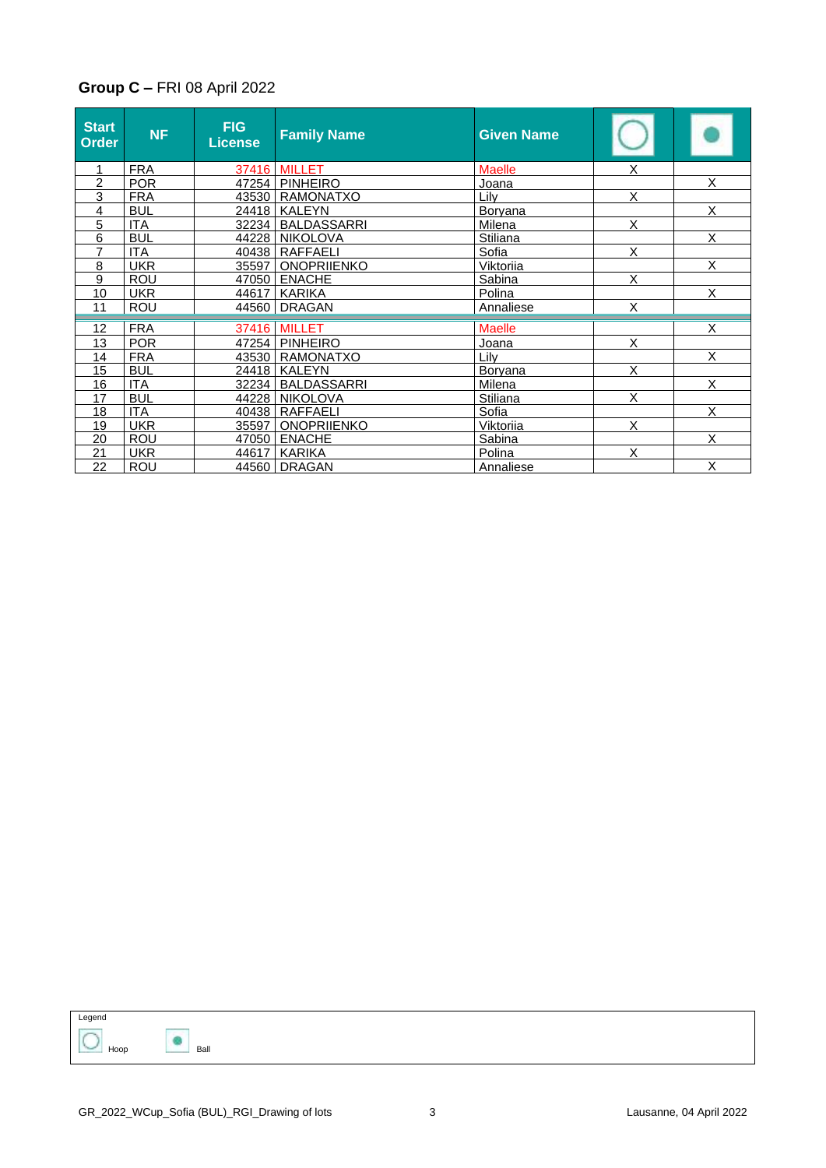#### **Group C –** FRI 08 April 2022

| <b>Start</b><br>Order | <b>NF</b>  | <b>FIG</b><br><b>License</b> | <b>Family Name</b>      | <b>Given Name</b> |                |                         |
|-----------------------|------------|------------------------------|-------------------------|-------------------|----------------|-------------------------|
|                       | <b>FRA</b> |                              | <b>37416 MILLET</b>     | <b>Maelle</b>     | Χ              |                         |
| $\overline{2}$        | <b>POR</b> |                              | 47254   PINHEIRO        | Joana             |                | X                       |
| 3                     | <b>FRA</b> |                              | 43530   RAMONATXO       | Lily              | X              |                         |
| 4                     | <b>BUL</b> |                              | 24418 KALEYN            | <b>Boryana</b>    |                | X                       |
| 5                     | <b>ITA</b> | 32234                        | <b>BALDASSARRI</b>      | Milena            | $\overline{X}$ |                         |
| 6                     | <b>BUL</b> | 44228                        | <b>NIKOLOVA</b>         | Stiliana          |                | $\overline{\mathsf{x}}$ |
| $\overline{7}$        | <b>ITA</b> |                              | 40438 RAFFAELI          | Sofia             | X              |                         |
| 8                     | <b>UKR</b> | 35597                        | <b>ONOPRIIENKO</b>      | Viktoriia         |                | X                       |
| 9                     | <b>ROU</b> | 47050                        | <b>ENACHE</b>           | Sabina            | X              |                         |
| 10                    | <b>UKR</b> | 44617                        | KARIKA                  | Polina            |                | $\overline{\mathsf{x}}$ |
| 11                    | ROU        | 44560                        | <b>DRAGAN</b>           | Annaliese         | X              |                         |
| 12                    | <b>FRA</b> |                              | 37416 MILLET            | <b>Maelle</b>     |                | X                       |
| 13                    | <b>POR</b> |                              | 47254 PINHEIRO          | Joana             | X              |                         |
| 14                    | <b>FRA</b> |                              | 43530   RAMONATXO       | Lilv              |                | X                       |
| 15                    | <b>BUL</b> |                              | 24418   KALEYN          | <b>Boryana</b>    | X              |                         |
| 16                    | <b>ITA</b> |                              | 32234   BALDASSARRI     | Milena            |                | X                       |
| 17                    | <b>BUL</b> |                              | <u>44228   NIKOLOVA</u> | Stiliana          | X              |                         |
| 18                    | <b>ITA</b> | 40438                        | <b>RAFFAELI</b>         | Sofia             |                | X                       |
| 19                    | <b>UKR</b> | 35597                        | <b>ONOPRIIENKO</b>      | Viktoriia         | X              |                         |
| 20                    | ROU        | 47050                        | <b>ENACHE</b>           | Sabina            |                | X                       |
| 21                    | <b>UKR</b> | 44617                        | KARIKA                  | Polina            | X              |                         |
| 22                    | <b>ROU</b> | 44560                        | <b>DRAGAN</b>           | Annaliese         |                | X                       |

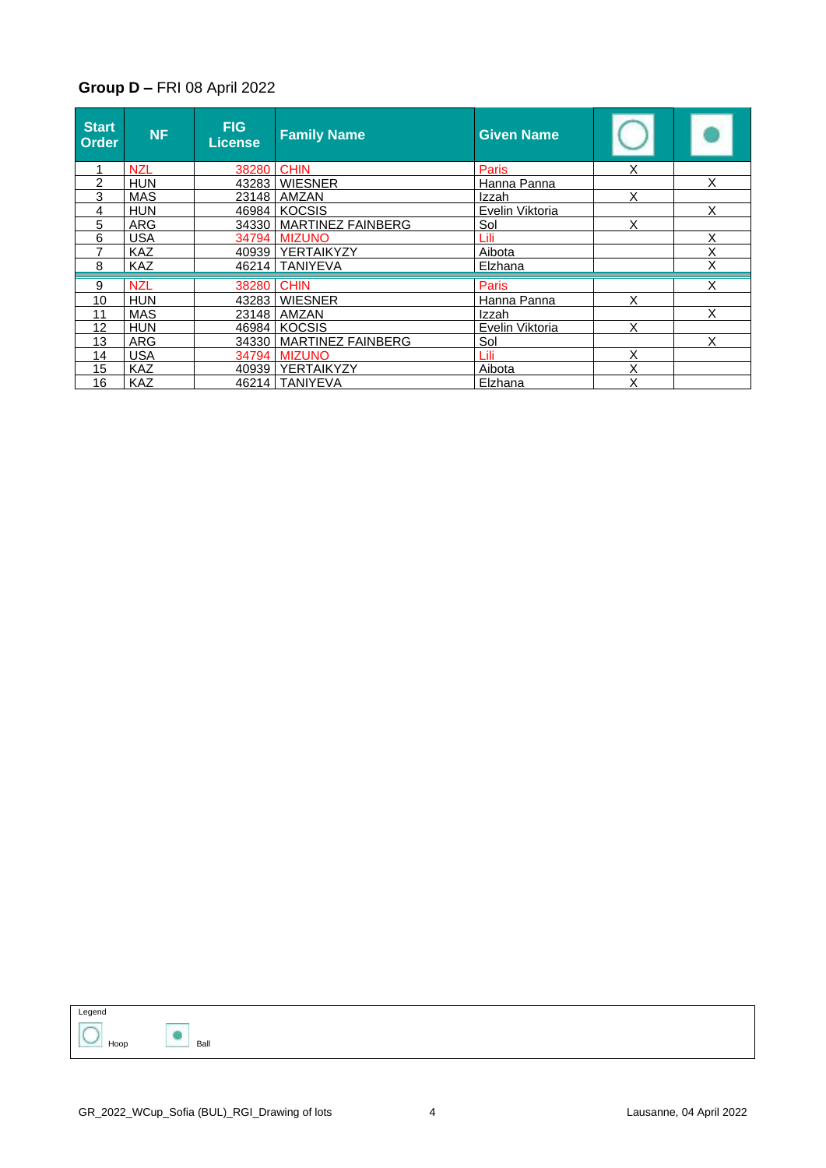#### **Group D –** FRI 08 April 2022

| <b>Start</b><br>Order | <b>NF</b>  | <b>FIG</b><br>License | <b>Family Name</b>        | <b>Given Name</b> |   |   |
|-----------------------|------------|-----------------------|---------------------------|-------------------|---|---|
|                       | <b>NZL</b> | 38280                 | <b>CHIN</b>               | Paris             | Χ |   |
| 2                     | <b>HUN</b> |                       | 43283 WIESNER             | Hanna Panna       |   | X |
| 3                     | <b>MAS</b> |                       | 23148   AMZAN             | Izzah             | X |   |
| 4                     | <b>HUN</b> |                       | 46984 KOCSIS              | Evelin Viktoria   |   | X |
| 5                     | <b>ARG</b> |                       | 34330 MARTINEZ FAINBERG   | Sol               | X |   |
| 6                     | <b>USA</b> |                       | 34794 MIZUNO              | Lili              |   | Χ |
| 7                     | <b>KAZ</b> |                       | 40939 YERTAIKYZY          | Aibota            |   | X |
| 8                     | <b>KAZ</b> |                       | 46214   TANIYEVA          | Elzhana           |   | Χ |
| 9                     | <b>NZL</b> | 38280 CHIN            |                           | Paris             |   | X |
| 10                    | <b>HUN</b> |                       | 43283 WIESNER             | Hanna Panna       | X |   |
| 11                    | <b>MAS</b> |                       | 23148 AMZAN               | Izzah             |   | X |
| 12                    | <b>HUN</b> |                       | 46984 KOCSIS              | Evelin Viktoria   | X |   |
| 13                    | <b>ARG</b> |                       | 34330   MARTINEZ FAINBERG | Sol               |   | X |
| 14                    | <b>USA</b> |                       | 34794 MIZUNO              | Lili              | X |   |
| 15                    | <b>KAZ</b> |                       | 40939   YERTAIKYZY        | Aibota            | Χ |   |
| 16                    | <b>KAZ</b> |                       | 46214   TANIYEVA          | Elzhana           | Χ |   |

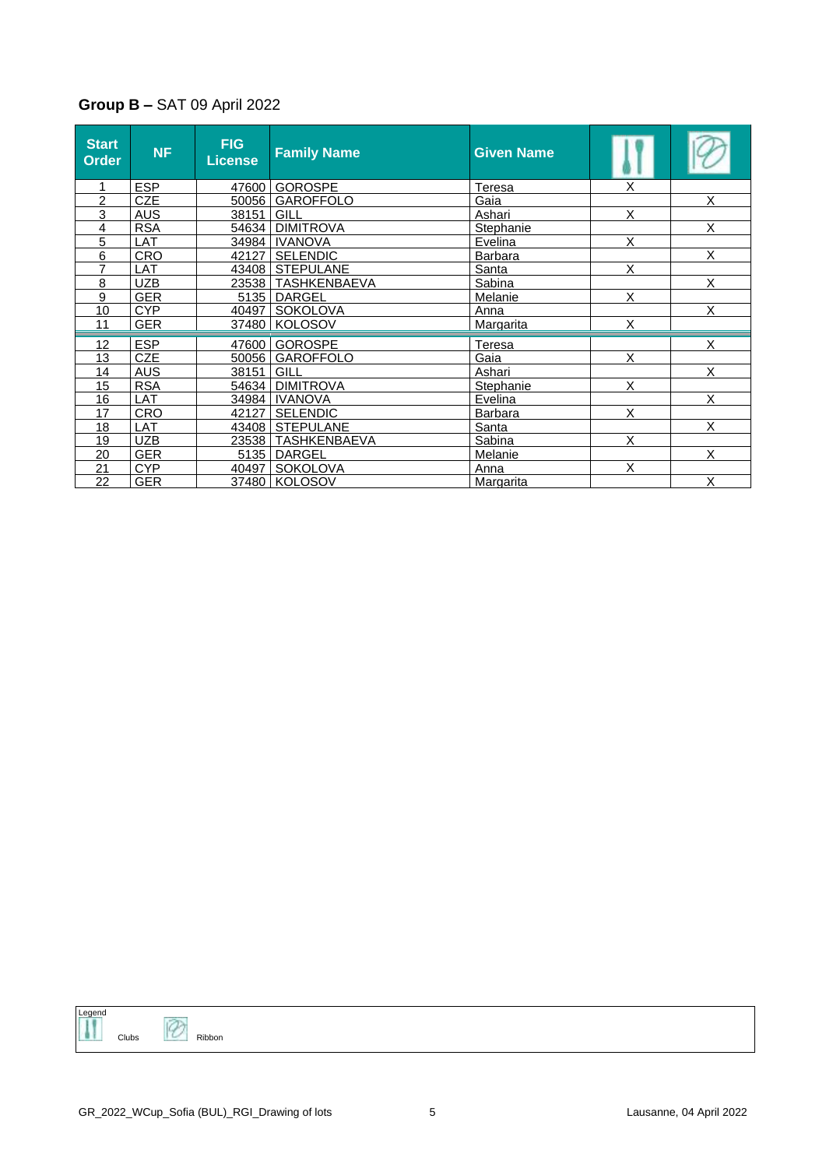### **Group B –** SAT 09 April 2022

| <b>Start</b><br><b>Order</b> | <b>NF</b>  | <b>FIG</b><br><b>License</b> | <b>Family Name</b>   | <b>Given Name</b> |   |   |
|------------------------------|------------|------------------------------|----------------------|-------------------|---|---|
|                              | <b>ESP</b> |                              | 47600 GOROSPE        | Teresa            | X |   |
| 2                            | <b>CZE</b> | 50056                        | <b>GAROFFOLO</b>     | Gaia              |   | X |
| 3                            | <b>AUS</b> | 38151                        | GILL                 | Ashari            | X |   |
| 4                            | <b>RSA</b> | 54634                        | <b>DIMITROVA</b>     | <b>Stephanie</b>  |   | X |
| 5                            | LAT        | 34984                        | <b>IVANOVA</b>       | Evelina           | X |   |
| 6                            | <b>CRO</b> | 42127 l                      | <b>SELENDIC</b>      | <b>Barbara</b>    |   | X |
| $\overline{7}$               | LAT        | 43408                        | <b>STEPULANE</b>     | Santa             | X |   |
| 8                            | UZB        |                              | 23538   TASHKENBAEVA | Sabina            |   | X |
| 9                            | <b>GER</b> | 5135                         | DARGEL               | Melanie           | X |   |
| 10                           | CYP        |                              | 40497   SOKOLOVA     | Anna              |   | X |
| 11                           | <b>GER</b> |                              | 37480   KOLOSOV      | Margarita         | X |   |
| 12                           | <b>ESP</b> |                              | 47600 GOROSPE        | <b>Teresa</b>     |   | X |
| 13                           | <b>CZE</b> | 50056                        | <b>GAROFFOLO</b>     | Gaia              | X |   |
| 14                           | <b>AUS</b> | 38151                        | GILL                 | Ashari            |   | X |
| 15                           | <b>RSA</b> | 54634                        | <b>DIMITROVA</b>     | Stephanie         | X |   |
| 16                           | LAT        | 34984                        | <b>IVANOVA</b>       | Evelina           |   | X |
| 17                           | CRO        | 42127                        | <b>SELENDIC</b>      | <b>Barbara</b>    | X |   |
| 18                           | <b>LAT</b> | 43408                        | <b>STEPULANE</b>     | Santa             |   | X |
| 19                           | <b>UZB</b> |                              | 23538   TASHKENBAEVA | Sabina            | X |   |
| 20                           | <b>GER</b> |                              | 5135   DARGEL        | Melanie           |   | X |
| 21                           | <b>CYP</b> | 40497                        | SOKOLOVA             | Anna              | X |   |
| 22                           | GER        |                              | 37480   KOLOSOV      | Margarita         |   | X |

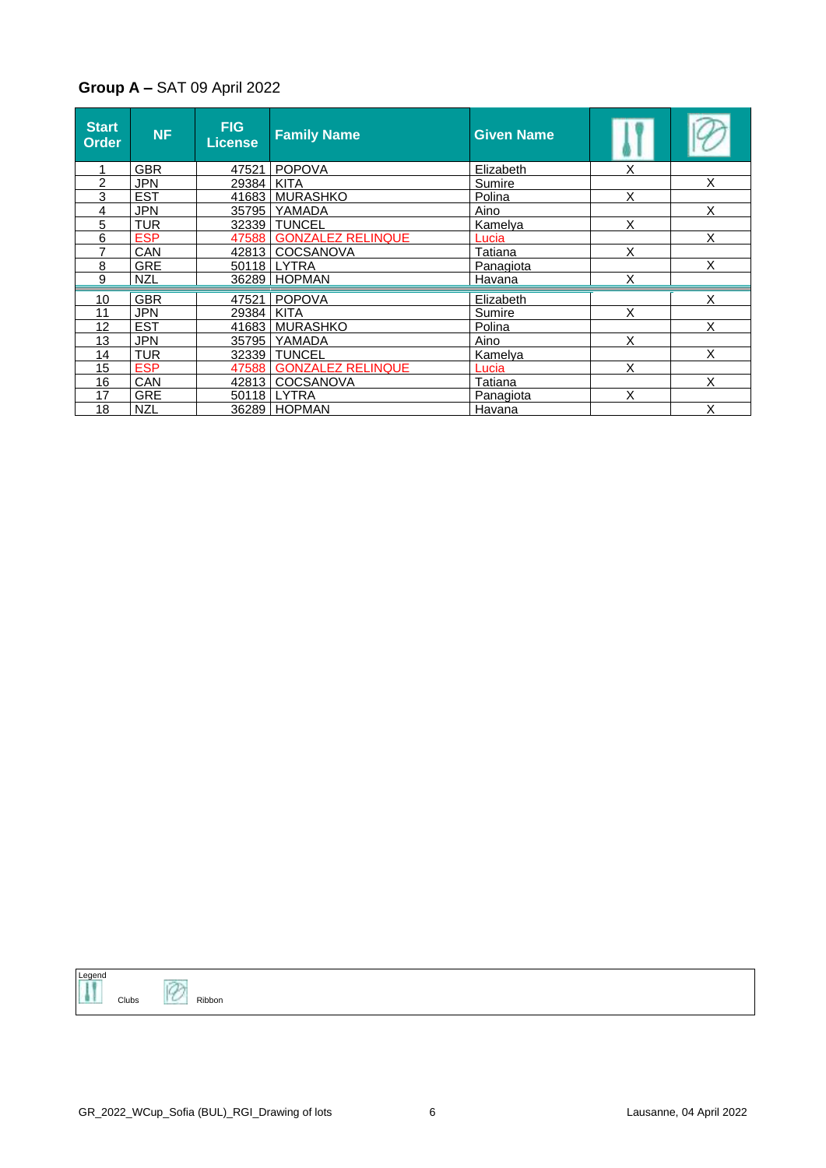#### **Group A –** SAT 09 April 2022

| <b>Start</b><br>Order | <b>NF</b>  | <b>FIG</b><br>License | <b>Family Name</b>      | <b>Given Name</b> |   |   |
|-----------------------|------------|-----------------------|-------------------------|-------------------|---|---|
|                       | <b>GBR</b> | 47521                 | <b>POPOVA</b>           | Elizabeth         | Χ |   |
| 2                     | <b>JPN</b> | 29384                 | <b>KITA</b>             | Sumire            |   | X |
| 3                     | <b>EST</b> |                       | 41683 MURASHKO          | Polina            | X |   |
| 4                     | <b>JPN</b> | 35795                 | YAMADA                  | Aino              |   | X |
| 5                     | <b>TUR</b> |                       | 32339 TUNCEL            | Kamelya           | X |   |
| 6                     | <b>ESP</b> |                       | 47588 GONZALEZ RELINQUE | Lucia             |   | X |
| 7                     | CAN        |                       | 42813   COCSANOVA       | <b>Tatiana</b>    | X |   |
| 8                     | <b>GRE</b> |                       | 50118 LYTRA             | <b>Panagiota</b>  |   | X |
| 9                     | <b>NZL</b> |                       | 36289 HOPMAN            | Havana            | X |   |
| 10                    | <b>GBR</b> |                       | 47521 POPOVA            | Elizabeth         |   | X |
| 11                    | <b>JPN</b> | 29384                 | <b>KITA</b>             | Sumire            | X |   |
| 12                    | <b>EST</b> |                       | 41683   MURASHKO        | Polina            |   | Χ |
| 13                    | <b>JPN</b> | 35795                 | YAMADA                  | Aino              | X |   |
| 14                    | <b>TUR</b> |                       | 32339 TUNCEL            | Kamelya           |   | X |
| 15                    | <b>ESP</b> |                       | 47588 GONZALEZ RELINQUE | Lucia             | X |   |
| 16                    | CAN        | 42813                 | COCSANOVA               | Tatiana           |   | X |
| 17                    | <b>GRE</b> | 50118                 | LYTRA                   | Panagiota         | X |   |
| 18                    | <b>NZL</b> |                       | 36289 HOPMAN            | Havana            |   | Χ |



 $\overline{\mathscr{O}}$  Ribbon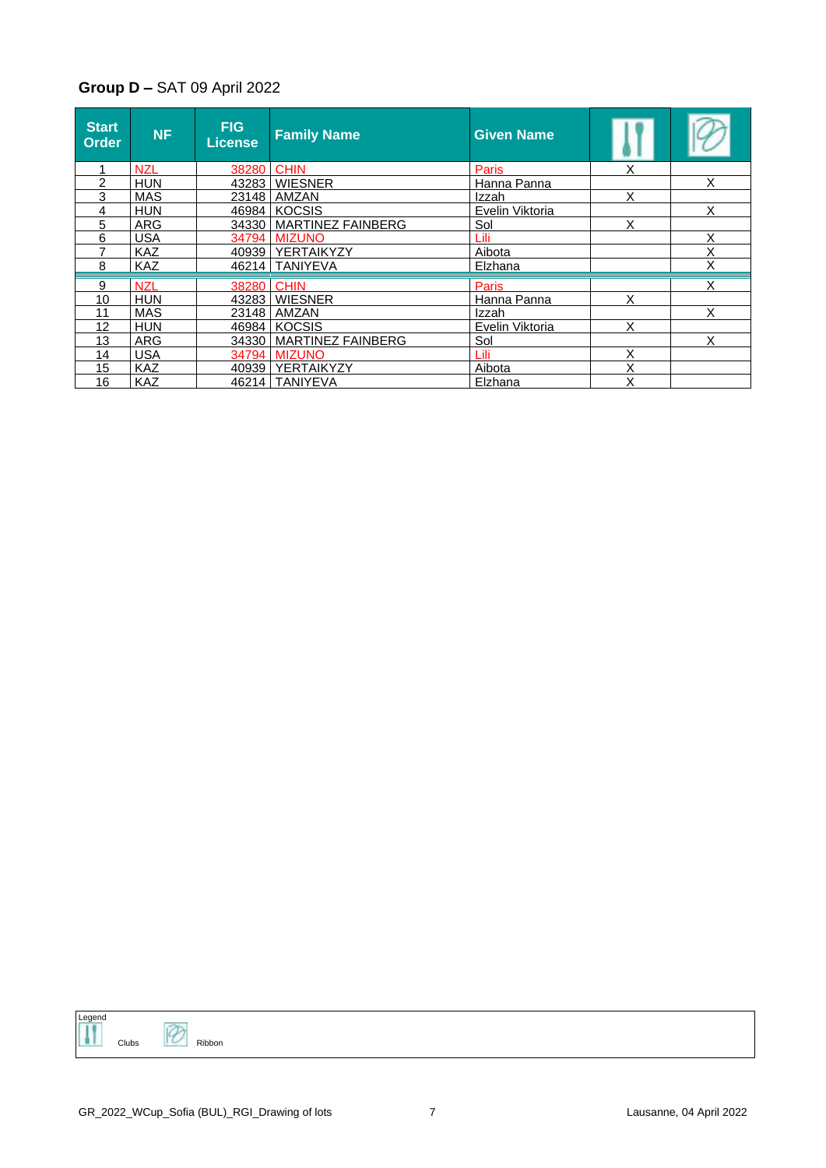### **Group D –** SAT 09 April 2022

| Start<br><b>Order</b> | <b>NF</b>  | <b>FIG</b><br>License. | <b>Family Name</b>        | <b>Given Name</b> |   |   |
|-----------------------|------------|------------------------|---------------------------|-------------------|---|---|
|                       | <b>NZL</b> | 38280                  | <b>CHIN</b>               | Paris             | Χ |   |
| 2                     | <b>HUN</b> |                        | 43283 WIESNER             | Hanna Panna       |   | X |
| 3                     | <b>MAS</b> |                        | 23148 AMZAN               | Izzah             | X |   |
| 4                     | <b>HUN</b> |                        | 46984 KOCSIS              | Evelin Viktoria   |   | X |
| 5                     | <b>ARG</b> |                        | 34330   MARTINEZ FAINBERG | Sol               | X |   |
| 6                     | <b>USA</b> |                        | 34794 MIZUNO              | Lili              |   | Χ |
| 7                     | <b>KAZ</b> |                        | 40939 YERTAIKYZY          | Aibota            |   | Χ |
| 8                     | <b>KAZ</b> |                        | 46214 TANIYEVA            | Elzhana           |   | Χ |
| 9                     | <b>NZL</b> | 38280 CHIN             |                           | Paris             |   | X |
| 10                    | <b>HUN</b> |                        | 43283 WIESNER             | Hanna Panna       | x |   |
| 11                    | MAS        |                        | 23148   AMZAN             | Izzah             |   | X |
| 12                    | <b>HUN</b> |                        | 46984 KOCSIS              | Evelin Viktoria   | X |   |
| 13                    | ARG        |                        | 34330   MARTINEZ FAINBERG | Sol               |   | X |
| 14                    | <b>USA</b> |                        | 34794 MIZUNO              | Lili              | Χ |   |
| 15                    | <b>KAZ</b> |                        | 40939   YERTAIKYZY        | Aibota            | X |   |
| 16                    | <b>KAZ</b> |                        | 46214   TANIYEVA          | Elzhana           | Χ |   |

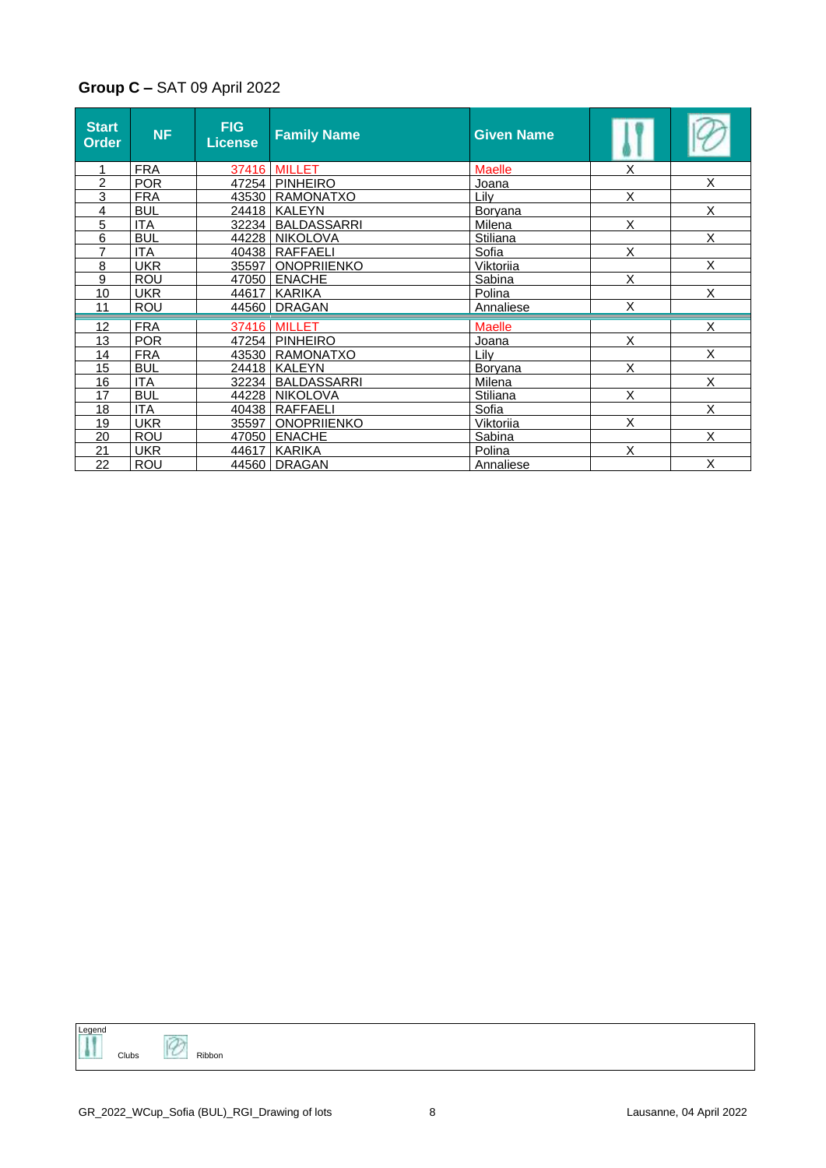### **Group C –** SAT 09 April 2022

| <b>Start</b><br><b>Order</b> | <b>NF</b>  | <b>FIG</b><br><b>License</b> | <b>Family Name</b>  | <b>Given Name</b> |   |   |
|------------------------------|------------|------------------------------|---------------------|-------------------|---|---|
|                              | <b>FRA</b> |                              | <b>37416 MILLET</b> | <b>Maelle</b>     | X |   |
| $\overline{c}$               | POR        |                              | 47254   PINHEIRO    | Joana             |   | X |
| 3                            | <b>FRA</b> |                              | 43530 RAMONATXO     | Lilv              | X |   |
| 4                            | <b>BUL</b> |                              | 24418   KALEYN      | <b>Boryana</b>    |   | X |
| 5                            | <b>ITA</b> |                              | 32234 BALDASSARRI   | Milena            | X |   |
| 6                            | <b>BUL</b> |                              | 44228 NIKOLOVA      | Stiliana          |   | X |
| $\overline{7}$               | <b>ITA</b> |                              | 40438   RAFFAELI    | Sofia             | X |   |
| 8                            | <b>UKR</b> | 35597                        | ONOPRIIENKO         | Viktoriia         |   | X |
| 9                            | <b>ROU</b> |                              | 47050   ENACHE      | Sabina            | X |   |
| 10                           | <b>UKR</b> | 44617                        | l KARIKA            | Polina            |   | X |
| 11                           | <b>ROU</b> |                              | 44560 DRAGAN        | Annaliese         | X |   |
| 12                           | <b>FRA</b> |                              | 37416 MILLET        | <b>Maelle</b>     |   | X |
| 13                           | <b>POR</b> |                              | 47254 PINHEIRO      | Joana             | X |   |
| 14                           | <b>FRA</b> |                              | 43530   RAMONATXO   | Lilv              |   | X |
| 15                           | <b>BUL</b> |                              | 24418   KALEYN      | <b>Boryana</b>    | X |   |
| 16                           | <b>ITA</b> |                              | 32234   BALDASSARRI | Milena            |   | X |
| 17                           | <b>BUL</b> |                              | 44228 NIKOLOVA      | Stiliana          | X |   |
| 18                           | <b>ITA</b> | 40438                        | <b>RAFFAELI</b>     | Sofia             |   | X |
| 19                           | <b>UKR</b> | 35597                        | <b>ONOPRIIENKO</b>  | Viktoriia         | X |   |
| 20                           | <b>ROU</b> | 47050                        | <b>ENACHE</b>       | Sabina            |   | X |
| 21                           | <b>UKR</b> | 44617                        | KARIKA              | Polina            | X |   |
| 22                           | <b>ROU</b> | 44560                        | <b>DRAGAN</b>       | <b>Annaliese</b>  |   | X |